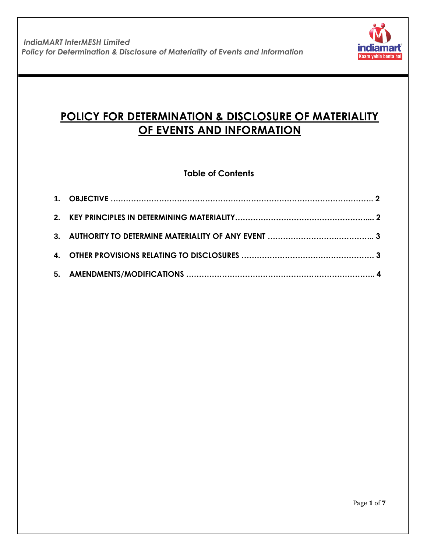

# **POLICY FOR DETERMINATION & DISCLOSURE OF MATERIALITY OF EVENTS AND INFORMATION**

## **Table of Contents**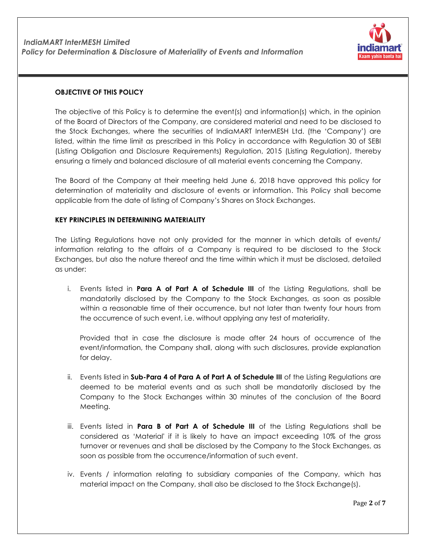

#### **OBJECTIVE OF THIS POLICY**

The objective of this Policy is to determine the event(s) and information(s) which, in the opinion of the Board of Directors of the Company, are considered material and need to be disclosed to the Stock Exchanges, where the securities of IndiaMART InterMESH Ltd. (the 'Company') are listed, within the time limit as prescribed in this Policy in accordance with Regulation 30 of SEBI (Listing Obligation and Disclosure Requirements) Regulation, 2015 (Listing Regulation), thereby ensuring a timely and balanced disclosure of all material events concerning the Company.

The Board of the Company at their meeting held June 6, 2018 have approved this policy for determination of materiality and disclosure of events or information. This Policy shall become applicable from the date of listing of Company's Shares on Stock Exchanges.

#### **KEY PRINCIPLES IN DETERMINING MATERIALITY**

The Listing Regulations have not only provided for the manner in which details of events/ information relating to the affairs of a Company is required to be disclosed to the Stock Exchanges, but also the nature thereof and the time within which it must be disclosed, detailed as under:

i. Events listed in **Para A of Part A of Schedule III** of the Listing Regulations, shall be mandatorily disclosed by the Company to the Stock Exchanges, as soon as possible within a reasonable time of their occurrence, but not later than twenty four hours from the occurrence of such event, i.e. without applying any test of materiality.

Provided that in case the disclosure is made after 24 hours of occurrence of the event/information, the Company shall, along with such disclosures, provide explanation for delay.

- ii. Events listed in **Sub-Para 4 of Para A of Part A of Schedule III** of the Listing Regulations are deemed to be material events and as such shall be mandatorily disclosed by the Company to the Stock Exchanges within 30 minutes of the conclusion of the Board Meeting.
- iii. Events listed in **Para B of Part A of Schedule III** of the Listing Regulations shall be considered as 'Material' if it is likely to have an impact exceeding 10% of the gross turnover or revenues and shall be disclosed by the Company to the Stock Exchanges, as soon as possible from the occurrence/information of such event.
- iv. Events / information relating to subsidiary companies of the Company, which has material impact on the Company, shall also be disclosed to the Stock Exchange(s).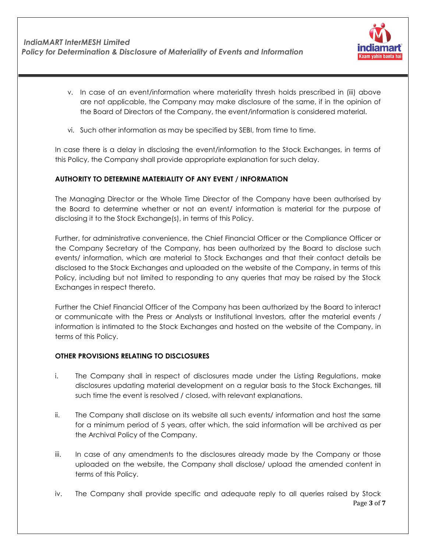

- v. In case of an event/information where materiality thresh holds prescribed in (iii) above are not applicable, the Company may make disclosure of the same, if in the opinion of the Board of Directors of the Company, the event/information is considered material.
- vi. Such other information as may be specified by SEBI, from time to time.

In case there is a delay in disclosing the event/information to the Stock Exchanges, in terms of this Policy, the Company shall provide appropriate explanation for such delay.

#### **AUTHORITY TO DETERMINE MATERIALITY OF ANY EVENT / INFORMATION**

The Managing Director or the Whole Time Director of the Company have been authorised by the Board to determine whether or not an event/ information is material for the purpose of disclosing it to the Stock Exchange(s), in terms of this Policy.

Further, for administrative convenience, the Chief Financial Officer or the Compliance Officer or the Company Secretary of the Company, has been authorized by the Board to disclose such events/ information, which are material to Stock Exchanges and that their contact details be disclosed to the Stock Exchanges and uploaded on the website of the Company, in terms of this Policy, including but not limited to responding to any queries that may be raised by the Stock Exchanges in respect thereto.

Further the Chief Financial Officer of the Company has been authorized by the Board to interact or communicate with the Press or Analysts or Institutional Investors, after the material events / information is intimated to the Stock Exchanges and hosted on the website of the Company, in terms of this Policy.

#### **OTHER PROVISIONS RELATING TO DISCLOSURES**

- i. The Company shall in respect of disclosures made under the Listing Regulations, make disclosures updating material development on a regular basis to the Stock Exchanges, till such time the event is resolved / closed, with relevant explanations.
- ii. The Company shall disclose on its website all such events/ information and host the same for a minimum period of 5 years, after which, the said information will be archived as per the Archival Policy of the Company.
- iii. In case of any amendments to the disclosures already made by the Company or those uploaded on the website, the Company shall disclose/ upload the amended content in terms of this Policy.
- Page **3** of **7** iv. The Company shall provide specific and adequate reply to all queries raised by Stock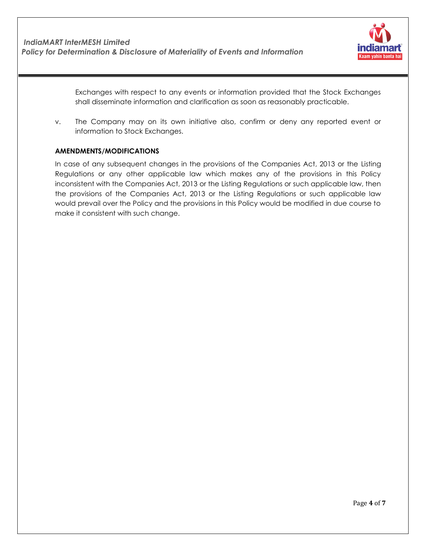

Exchanges with respect to any events or information provided that the Stock Exchanges shall disseminate information and clarification as soon as reasonably practicable.

v. The Company may on its own initiative also, confirm or deny any reported event or information to Stock Exchanges.

#### **AMENDMENTS/MODIFICATIONS**

In case of any subsequent changes in the provisions of the Companies Act, 2013 or the Listing Regulations or any other applicable law which makes any of the provisions in this Policy inconsistent with the Companies Act, 2013 or the Listing Regulations or such applicable law, then the provisions of the Companies Act, 2013 or the Listing Regulations or such applicable law would prevail over the Policy and the provisions in this Policy would be modified in due course to make it consistent with such change.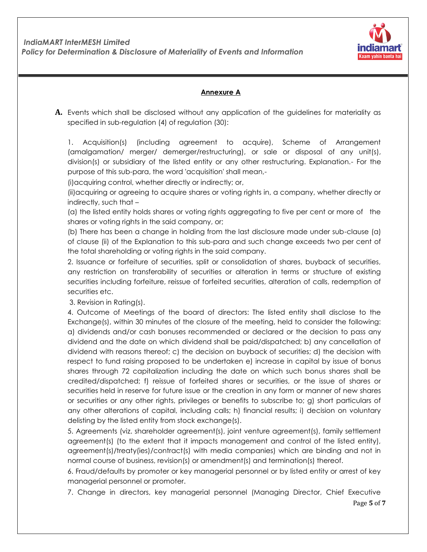

### **Annexure A**

**A.** Events which shall be disclosed without any application of the guidelines for materiality as specified in sub-regulation (4) of regulation (30):

1. Acquisition(s) (including agreement to acquire), Scheme of Arrangement (amalgamation/ merger/ demerger/restructuring), or sale or disposal of any unit(s), division(s) or subsidiary of the listed entity or any other restructuring. Explanation.- For the purpose of this sub-para, the word 'acquisition' shall mean,-

(i)acquiring control, whether directly or indirectly; or,

(ii)acquiring or agreeing to acquire shares or voting rights in, a company, whether directly or indirectly, such that –

(a) the listed entity holds shares or voting rights aggregating to five per cent or more of the shares or voting rights in the said company, or;

(b) There has been a change in holding from the last disclosure made under sub-clause (a) of clause (ii) of the Explanation to this sub-para and such change exceeds two per cent of the total shareholding or voting rights in the said company.

2. Issuance or forfeiture of securities, split or consolidation of shares, buyback of securities, any restriction on transferability of securities or alteration in terms or structure of existing securities including forfeiture, reissue of forfeited securities, alteration of calls, redemption of securities etc.

3. Revision in Rating(s).

4. Outcome of Meetings of the board of directors: The listed entity shall disclose to the Exchange(s), within 30 minutes of the closure of the meeting, held to consider the following: a) dividends and/or cash bonuses recommended or declared or the decision to pass any dividend and the date on which dividend shall be paid/dispatched; b) any cancellation of dividend with reasons thereof; c) the decision on buyback of securities; d) the decision with respect to fund raising proposed to be undertaken e) increase in capital by issue of bonus shares through 72 capitalization including the date on which such bonus shares shall be credited/dispatched; f) reissue of forfeited shares or securities, or the issue of shares or securities held in reserve for future issue or the creation in any form or manner of new shares or securities or any other rights, privileges or benefits to subscribe to; g) short particulars of any other alterations of capital, including calls; h) financial results; i) decision on voluntary delisting by the listed entity from stock exchange(s).

5. Agreements (viz. shareholder agreement(s), joint venture agreement(s), family settlement agreement(s) (to the extent that it impacts management and control of the listed entity), agreement(s)/treaty(ies)/contract(s) with media companies) which are binding and not in normal course of business, revision(s) or amendment(s) and termination(s) thereof.

6. Fraud/defaults by promoter or key managerial personnel or by listed entity or arrest of key managerial personnel or promoter.

7. Change in directors, key managerial personnel (Managing Director, Chief Executive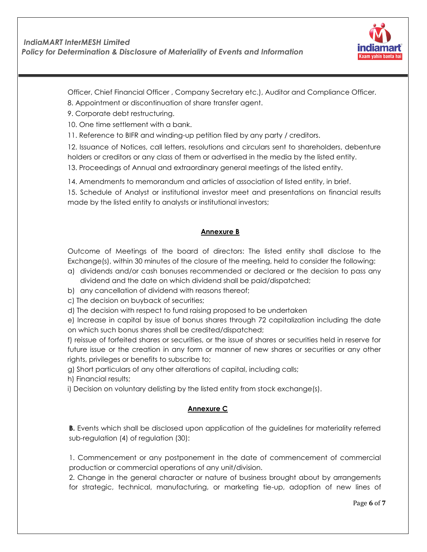

Officer, Chief Financial Officer , Company Secretary etc.), Auditor and Compliance Officer.

- 8. Appointment or discontinuation of share transfer agent.
- 9. Corporate debt restructuring.

10. One time settlement with a bank.

11. Reference to BIFR and winding-up petition filed by any party / creditors.

12. Issuance of Notices, call letters, resolutions and circulars sent to shareholders, debenture holders or creditors or any class of them or advertised in the media by the listed entity.

13. Proceedings of Annual and extraordinary general meetings of the listed entity.

14. Amendments to memorandum and articles of association of listed entity, in brief.

15. Schedule of Analyst or institutional investor meet and presentations on financial results made by the listed entity to analysts or institutional investors;

#### **Annexure B**

Outcome of Meetings of the board of directors: The listed entity shall disclose to the Exchange(s), within 30 minutes of the closure of the meeting, held to consider the following:

- a) dividends and/or cash bonuses recommended or declared or the decision to pass any dividend and the date on which dividend shall be paid/dispatched;
- b) any cancellation of dividend with reasons thereof;
- c) The decision on buyback of securities;
- d) The decision with respect to fund raising proposed to be undertaken

e) Increase in capital by issue of bonus shares through 72 capitalization including the date on which such bonus shares shall be credited/dispatched;

f) reissue of forfeited shares or securities, or the issue of shares or securities held in reserve for future issue or the creation in any form or manner of new shares or securities or any other rights, privileges or benefits to subscribe to;

g) Short particulars of any other alterations of capital, including calls;

h) Financial results;

i) Decision on voluntary delisting by the listed entity from stock exchange(s).

#### **Annexure C**

**B.** Events which shall be disclosed upon application of the guidelines for materiality referred sub-regulation (4) of regulation (30):

1. Commencement or any postponement in the date of commencement of commercial production or commercial operations of any unit/division.

2. Change in the general character or nature of business brought about by arrangements for strategic, technical, manufacturing, or marketing tie-up, adoption of new lines of